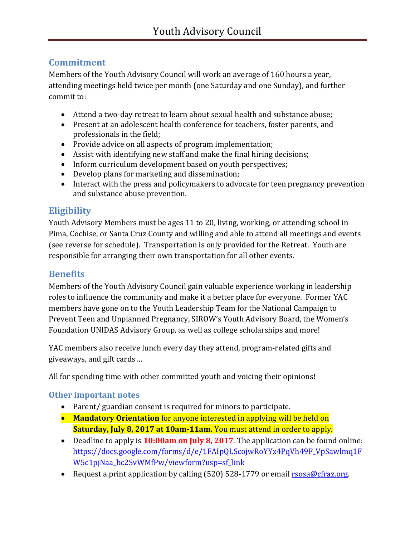# **Commitment**

Members of the Youth Advisory Council will work an average of 160 hours a year, attending meetings held twice per month (one Saturday and one Sunday), and further commit to:

- Attend a two-day retreat to learn about sexual health and substance abuse;
- Present at an adolescent health conference for teachers, foster parents, and professionals in the field;
- Provide advice on all aspects of program implementation;
- Assist with identifying new staff and make the final hiring decisions;
- Inform curriculum development based on youth perspectives;
- Develop plans for marketing and dissemination;
- Interact with the press and policymakers to advocate for teen pregnancy prevention and substance abuse prevention.

## **Eligibility**

Youth Advisory Members must be ages 11 to 20, living, working, or attending school in Pima, Cochise, or Santa Cruz County and willing and able to attend all meetings and events (see reverse for schedule). Transportation is only provided for the Retreat. Youth are responsible for arranging their own transportation for all other events.

## **Benefits**

Members of the Youth Advisory Council gain valuable experience working in leadership roles to influence the community and make it a better place for everyone. Former YAC members have gone on to the Youth Leadership Team for the National Campaign to Prevent Teen and Unplanned Pregnancy, SIROW's Youth Advisory Board, the Women's Foundation UNIDAS Advisory Group, as well as college scholarships and more!

YAC members also receive lunch every day they attend, program-related gifts and giveaways, and gift cards ...

All for spending time with other committed youth and voicing their opinions!

#### **Other important notes**

- Parent/ guardian consent is required for minors to participate.
- **Mandatory Orientation** for anyone interested in applying will be held on **Saturday, July 8, 2017 at 10am-11am.** You must attend in order to apply.
- Deadline to apply is **10:00am on July 8, 2017**. The application can be found online: [https://docs.google.com/forms/d/e/1FAIpQLScojwRoYYx4PqVh49F\\_VpSawlmq1F](https://docs.google.com/forms/d/e/1FAIpQLScojwRoYYx4PqVh49F_VpSawlmq1FW5c1pjNaa_bc2SvWMfPw/viewform?usp=sf_link) [W5c1pjNaa\\_bc2SvWMfPw/viewform?usp=sf\\_link](https://docs.google.com/forms/d/e/1FAIpQLScojwRoYYx4PqVh49F_VpSawlmq1FW5c1pjNaa_bc2SvWMfPw/viewform?usp=sf_link)
- Request a print application by calling (520) 528-1779 or email [rsosa@cfraz.org.](mailto:rsosa@cfraz.org)